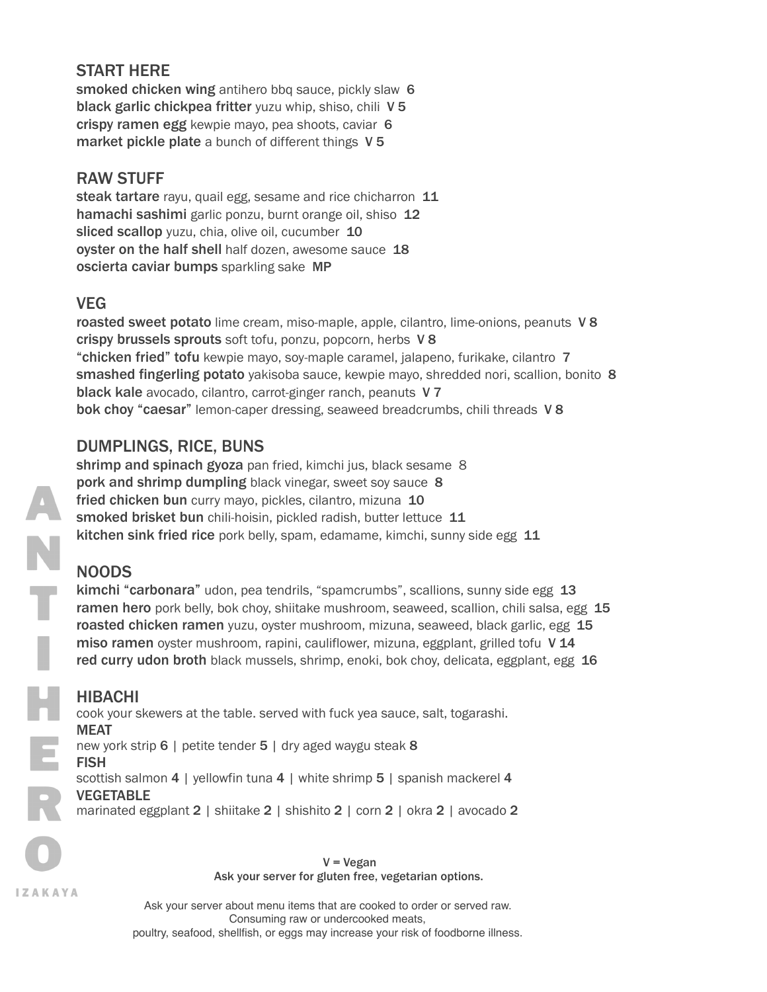## START HERE

smoked chicken wing antihero bbq sauce, pickly slaw 6 black garlic chickpea fritter yuzu whip, shiso, chili V 5 crispy ramen egg kewpie mayo, pea shoots, caviar 6 market pickle plate a bunch of different things V 5

### RAW STUFF

steak tartare rayu, quail egg, sesame and rice chicharron 11 hamachi sashimi garlic ponzu, burnt orange oil, shiso 12 sliced scallop yuzu, chia, olive oil, cucumber 10 oyster on the half shell half dozen, awesome sauce 18 oscierta caviar bumps sparkling sake MP

### VEG

roasted sweet potato lime cream, miso-maple, apple, cilantro, lime-onions, peanuts V8 crispy brussels sprouts soft tofu, ponzu, popcorn, herbs V8 "chicken fried" tofu kewpie mayo, soy-maple caramel, jalapeno, furikake, cilantro 7 smashed fingerling potato yakisoba sauce, kewpie mayo, shredded nori, scallion, bonito 8 black kale avocado, cilantro, carrot-ginger ranch, peanuts V7 bok choy "caesar" lemon-caper dressing, seaweed breadcrumbs, chili threads V 8

## DUMPLINGS, RICE, BUNS

shrimp and spinach gyoza pan fried, kimchi jus, black sesame 8 pork and shrimp dumpling black vinegar, sweet soy sauce 8 fried chicken bun curry mayo, pickles, cilantro, mizuna 10 smoked brisket bun chili-hoisin, pickled radish, butter lettuce 11 kitchen sink fried rice pork belly, spam, edamame, kimchi, sunny side egg 11

# NOODS

kimchi "carbonara" udon, pea tendrils, "spamcrumbs", scallions, sunny side egg 13 ramen hero pork belly, bok choy, shiitake mushroom, seaweed, scallion, chili salsa, egg 15 **roasted chicken ramen** yuzu, oyster mushroom, mizuna, seaweed, black garlic, egg 15 miso ramen oyster mushroom, rapini, cauliflower, mizuna, eggplant, grilled tofu V14 red curry udon broth black mussels, shrimp, enoki, bok choy, delicata, eggplant, egg 16

#### HIBACHI

cook your skewers at the table. served with fuck yea sauce, salt, togarashi. MEAT new york strip 6 | petite tender 5 | dry aged waygu steak 8 FISH scottish salmon 4 | yellowfin tuna 4 | white shrimp 5 | spanish mackerel 4 VEGETABLE

marinated eggplant 2 | shiitake 2 | shishito 2 | corn 2 | okra 2 | avocado 2

V = Vegan Ask your server for gluten free, vegetarian options.

Ask your server about menu items that are cooked to order or served raw. Consuming raw or undercooked meats, poultry, seafood, shellfish, or eggs may increase your risk of foodborne illness.